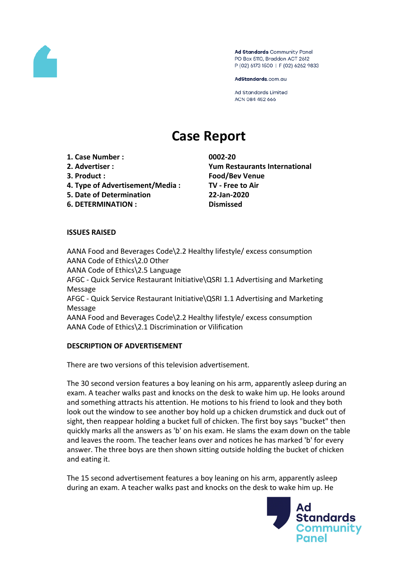

Ad Standards Community Panel PO Box 5110, Braddon ACT 2612 P (02) 6173 1500 | F (02) 6262 9833

AdStandards.com.au

**Ad Standards Limited** ACN 084 452 666

# **Case Report**

- **1. Case Number : 0002-20**
- 
- 
- **4. Type of Advertisement/Media : TV - Free to Air**
- **5. Date of Determination 22-Jan-2020**
- **6. DETERMINATION : Dismissed**

**2. Advertiser : Yum Restaurants International 3. Product : Food/Bev Venue**

# **ISSUES RAISED**

AANA Food and Beverages Code\2.2 Healthy lifestyle/ excess consumption AANA Code of Ethics\2.0 Other AANA Code of Ethics\2.5 Language AFGC - Quick Service Restaurant Initiative\QSRI 1.1 Advertising and Marketing Message AFGC - Quick Service Restaurant Initiative\QSRI 1.1 Advertising and Marketing Message AANA Food and Beverages Code\2.2 Healthy lifestyle/ excess consumption AANA Code of Ethics\2.1 Discrimination or Vilification

### **DESCRIPTION OF ADVERTISEMENT**

There are two versions of this television advertisement.

The 30 second version features a boy leaning on his arm, apparently asleep during an exam. A teacher walks past and knocks on the desk to wake him up. He looks around and something attracts his attention. He motions to his friend to look and they both look out the window to see another boy hold up a chicken drumstick and duck out of sight, then reappear holding a bucket full of chicken. The first boy says "bucket" then quickly marks all the answers as 'b' on his exam. He slams the exam down on the table and leaves the room. The teacher leans over and notices he has marked 'b' for every answer. The three boys are then shown sitting outside holding the bucket of chicken and eating it.

The 15 second advertisement features a boy leaning on his arm, apparently asleep during an exam. A teacher walks past and knocks on the desk to wake him up. He

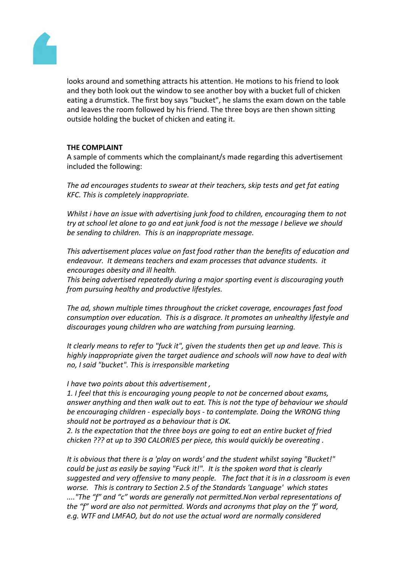

looks around and something attracts his attention. He motions to his friend to look and they both look out the window to see another boy with a bucket full of chicken eating a drumstick. The first boy says "bucket", he slams the exam down on the table and leaves the room followed by his friend. The three boys are then shown sitting outside holding the bucket of chicken and eating it.

# **THE COMPLAINT**

A sample of comments which the complainant/s made regarding this advertisement included the following:

*The ad encourages students to swear at their teachers, skip tests and get fat eating KFC. This is completely inappropriate.*

*Whilst i have an issue with advertising junk food to children, encouraging them to not try at school let alone to go and eat junk food is not the message I believe we should be sending to children. This is an inappropriate message.*

*This advertisement places value on fast food rather than the benefits of education and endeavour. It demeans teachers and exam processes that advance students. it encourages obesity and ill health.*

*This being advertised repeatedly during a major sporting event is discouraging youth from pursuing healthy and productive lifestyles.*

*The ad, shown multiple times throughout the cricket coverage, encourages fast food consumption over education. This is a disgrace. It promotes an unhealthy lifestyle and discourages young children who are watching from pursuing learning.*

*It clearly means to refer to "fuck it", given the students then get up and leave. This is highly inappropriate given the target audience and schools will now have to deal with no, I said "bucket". This is irresponsible marketing*

*I have two points about this advertisement ,*

*1. I feel that this is encouraging young people to not be concerned about exams, answer anything and then walk out to eat. This is not the type of behaviour we should be encouraging children - especially boys - to contemplate. Doing the WRONG thing should not be portrayed as a behaviour that is OK.* 

*2. Is the expectation that the three boys are going to eat an entire bucket of fried chicken ??? at up to 390 CALORIES per piece, this would quickly be overeating .*

*It is obvious that there is a 'play on words' and the student whilst saying "Bucket!" could be just as easily be saying "Fuck it!". It is the spoken word that is clearly suggested and very offensive to many people. The fact that it is in a classroom is even worse. This is contrary to Section 2.5 of the Standards 'Language' which states ...."The "f" and "c" words are generally not permitted.Non verbal representations of the "f" word are also not permitted. Words and acronyms that play on the 'f' word, e.g. WTF and LMFAO, but do not use the actual word are normally considered*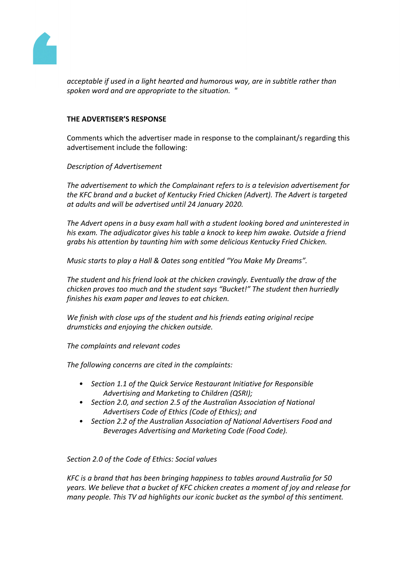

*acceptable if used in a light hearted and humorous way, are in subtitle rather than spoken word and are appropriate to the situation. "*

# **THE ADVERTISER'S RESPONSE**

Comments which the advertiser made in response to the complainant/s regarding this advertisement include the following:

*Description of Advertisement*

*The advertisement to which the Complainant refers to is a television advertisement for the KFC brand and a bucket of Kentucky Fried Chicken (Advert). The Advert is targeted at adults and will be advertised until 24 January 2020.*

*The Advert opens in a busy exam hall with a student looking bored and uninterested in his exam. The adjudicator gives his table a knock to keep him awake. Outside a friend grabs his attention by taunting him with some delicious Kentucky Fried Chicken.*

*Music starts to play a Hall & Oates song entitled "You Make My Dreams".*

*The student and his friend look at the chicken cravingly. Eventually the draw of the chicken proves too much and the student says "Bucket!" The student then hurriedly finishes his exam paper and leaves to eat chicken.*

*We finish with close ups of the student and his friends eating original recipe drumsticks and enjoying the chicken outside.*

*The complaints and relevant codes*

*The following concerns are cited in the complaints:*

- *• Section 1.1 of the Quick Service Restaurant Initiative for Responsible Advertising and Marketing to Children (QSRI);*
- *• Section 2.0, and section 2.5 of the Australian Association of National Advertisers Code of Ethics (Code of Ethics); and*
- *• Section 2.2 of the Australian Association of National Advertisers Food and Beverages Advertising and Marketing Code (Food Code).*

*Section 2.0 of the Code of Ethics: Social values*

*KFC is a brand that has been bringing happiness to tables around Australia for 50 years. We believe that a bucket of KFC chicken creates a moment of joy and release for many people. This TV ad highlights our iconic bucket as the symbol of this sentiment.*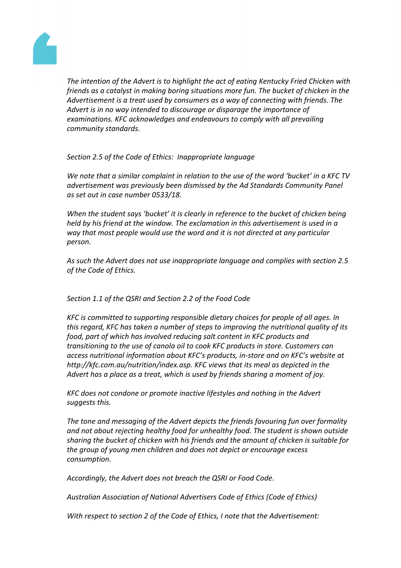

*The intention of the Advert is to highlight the act of eating Kentucky Fried Chicken with friends as a catalyst in making boring situations more fun. The bucket of chicken in the Advertisement is a treat used by consumers as a way of connecting with friends. The Advert is in no way intended to discourage or disparage the importance of examinations. KFC acknowledges and endeavours to comply with all prevailing community standards.*

# *Section 2.5 of the Code of Ethics: Inappropriate language*

*We note that a similar complaint in relation to the use of the word 'bucket' in a KFC TV advertisement was previously been dismissed by the Ad Standards Community Panel as set out in case number 0533/18.*

*When the student says 'bucket' it is clearly in reference to the bucket of chicken being held by his friend at the window. The exclamation in this advertisement is used in a way that most people would use the word and it is not directed at any particular person.*

*As such the Advert does not use inappropriate language and complies with section 2.5 of the Code of Ethics.*

### *Section 1.1 of the QSRI and Section 2.2 of the Food Code*

*KFC is committed to supporting responsible dietary choices for people of all ages. In this regard, KFC has taken a number of steps to improving the nutritional quality of its food, part of which has involved reducing salt content in KFC products and transitioning to the use of canola oil to cook KFC products in store. Customers can access nutritional information about KFC's products, in-store and on KFC's website at http://kfc.com.au/nutrition/index.asp. KFC views that its meal as depicted in the Advert has a place as a treat, which is used by friends sharing a moment of joy.*

*KFC does not condone or promote inactive lifestyles and nothing in the Advert suggests this.*

*The tone and messaging of the Advert depicts the friends favouring fun over formality and not about rejecting healthy food for unhealthy food. The student is shown outside sharing the bucket of chicken with his friends and the amount of chicken is suitable for the group of young men children and does not depict or encourage excess consumption.*

*Accordingly, the Advert does not breach the QSRI or Food Code.*

*Australian Association of National Advertisers Code of Ethics (Code of Ethics)*

*With respect to section 2 of the Code of Ethics, I note that the Advertisement:*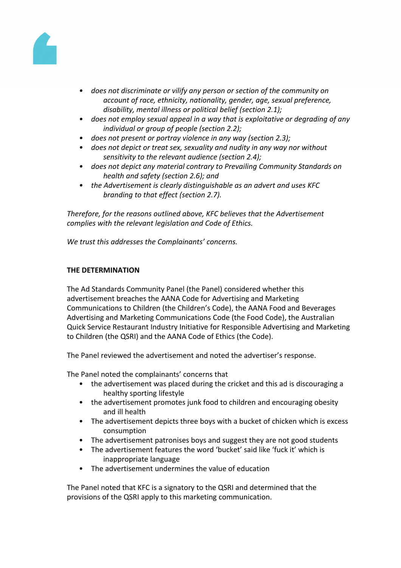

- *• does not discriminate or vilify any person or section of the community on account of race, ethnicity, nationality, gender, age, sexual preference, disability, mental illness or political belief (section 2.1);*
- *• does not employ sexual appeal in a way that is exploitative or degrading of any individual or group of people (section 2.2);*
- *• does not present or portray violence in any way (section 2.3);*
- *• does not depict or treat sex, sexuality and nudity in any way nor without sensitivity to the relevant audience (section 2.4);*
- *• does not depict any material contrary to Prevailing Community Standards on health and safety (section 2.6); and*
- *• the Advertisement is clearly distinguishable as an advert and uses KFC branding to that effect (section 2.7).*

*Therefore, for the reasons outlined above, KFC believes that the Advertisement complies with the relevant legislation and Code of Ethics.*

*We trust this addresses the Complainants' concerns.*

# **THE DETERMINATION**

The Ad Standards Community Panel (the Panel) considered whether this advertisement breaches the AANA Code for Advertising and Marketing Communications to Children (the Children's Code), the AANA Food and Beverages Advertising and Marketing Communications Code (the Food Code), the Australian Quick Service Restaurant Industry Initiative for Responsible Advertising and Marketing to Children (the QSRI) and the AANA Code of Ethics (the Code).

The Panel reviewed the advertisement and noted the advertiser's response.

The Panel noted the complainants' concerns that

- the advertisement was placed during the cricket and this ad is discouraging a healthy sporting lifestyle
- the advertisement promotes junk food to children and encouraging obesity and ill health
- The advertisement depicts three boys with a bucket of chicken which is excess consumption
- The advertisement patronises boys and suggest they are not good students
- The advertisement features the word 'bucket' said like 'fuck it' which is inappropriate language
- The advertisement undermines the value of education

The Panel noted that KFC is a signatory to the QSRI and determined that the provisions of the QSRI apply to this marketing communication.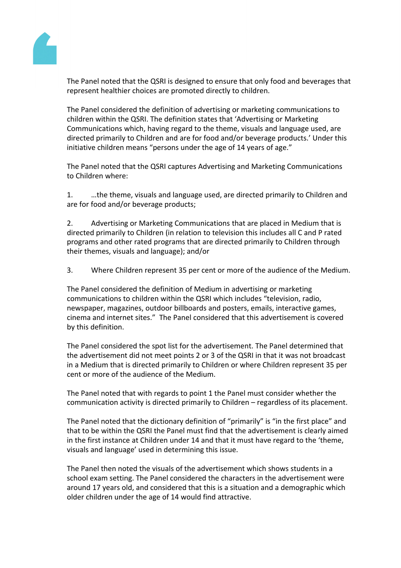

The Panel noted that the QSRI is designed to ensure that only food and beverages that represent healthier choices are promoted directly to children.

The Panel considered the definition of advertising or marketing communications to children within the QSRI. The definition states that 'Advertising or Marketing Communications which, having regard to the theme, visuals and language used, are directed primarily to Children and are for food and/or beverage products.' Under this initiative children means "persons under the age of 14 years of age."

The Panel noted that the QSRI captures Advertising and Marketing Communications to Children where:

1. …the theme, visuals and language used, are directed primarily to Children and are for food and/or beverage products;

2. Advertising or Marketing Communications that are placed in Medium that is directed primarily to Children (in relation to television this includes all C and P rated programs and other rated programs that are directed primarily to Children through their themes, visuals and language); and/or

3. Where Children represent 35 per cent or more of the audience of the Medium.

The Panel considered the definition of Medium in advertising or marketing communications to children within the QSRI which includes "television, radio, newspaper, magazines, outdoor billboards and posters, emails, interactive games, cinema and internet sites." The Panel considered that this advertisement is covered by this definition.

The Panel considered the spot list for the advertisement. The Panel determined that the advertisement did not meet points 2 or 3 of the QSRI in that it was not broadcast in a Medium that is directed primarily to Children or where Children represent 35 per cent or more of the audience of the Medium.

The Panel noted that with regards to point 1 the Panel must consider whether the communication activity is directed primarily to Children – regardless of its placement.

The Panel noted that the dictionary definition of "primarily" is "in the first place" and that to be within the QSRI the Panel must find that the advertisement is clearly aimed in the first instance at Children under 14 and that it must have regard to the 'theme, visuals and language' used in determining this issue.

The Panel then noted the visuals of the advertisement which shows students in a school exam setting. The Panel considered the characters in the advertisement were around 17 years old, and considered that this is a situation and a demographic which older children under the age of 14 would find attractive.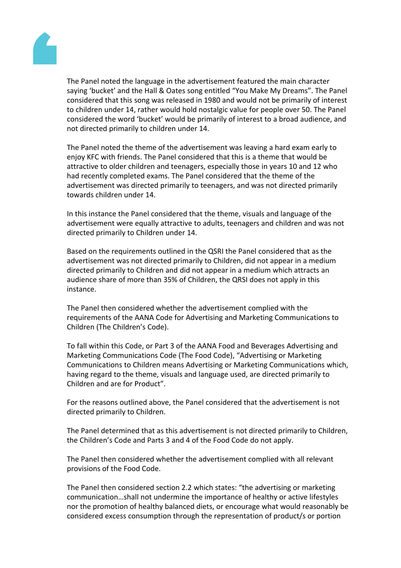

The Panel noted the language in the advertisement featured the main character saying 'bucket' and the Hall & Oates song entitled "You Make My Dreams". The Panel considered that this song was released in 1980 and would not be primarily of interest to children under 14, rather would hold nostalgic value for people over 50. The Panel considered the word 'bucket' would be primarily of interest to a broad audience, and not directed primarily to children under 14.

The Panel noted the theme of the advertisement was leaving a hard exam early to enjoy KFC with friends. The Panel considered that this is a theme that would be attractive to older children and teenagers, especially those in years 10 and 12 who had recently completed exams. The Panel considered that the theme of the advertisement was directed primarily to teenagers, and was not directed primarily towards children under 14.

In this instance the Panel considered that the theme, visuals and language of the advertisement were equally attractive to adults, teenagers and children and was not directed primarily to Children under 14.

Based on the requirements outlined in the QSRI the Panel considered that as the advertisement was not directed primarily to Children, did not appear in a medium directed primarily to Children and did not appear in a medium which attracts an audience share of more than 35% of Children, the QRSI does not apply in this instance.

The Panel then considered whether the advertisement complied with the requirements of the AANA Code for Advertising and Marketing Communications to Children (The Children's Code).

To fall within this Code, or Part 3 of the AANA Food and Beverages Advertising and Marketing Communications Code (The Food Code), "Advertising or Marketing Communications to Children means Advertising or Marketing Communications which, having regard to the theme, visuals and language used, are directed primarily to Children and are for Product".

For the reasons outlined above, the Panel considered that the advertisement is not directed primarily to Children.

The Panel determined that as this advertisement is not directed primarily to Children, the Children's Code and Parts 3 and 4 of the Food Code do not apply.

The Panel then considered whether the advertisement complied with all relevant provisions of the Food Code.

The Panel then considered section 2.2 which states: "the advertising or marketing communication…shall not undermine the importance of healthy or active lifestyles nor the promotion of healthy balanced diets, or encourage what would reasonably be considered excess consumption through the representation of product/s or portion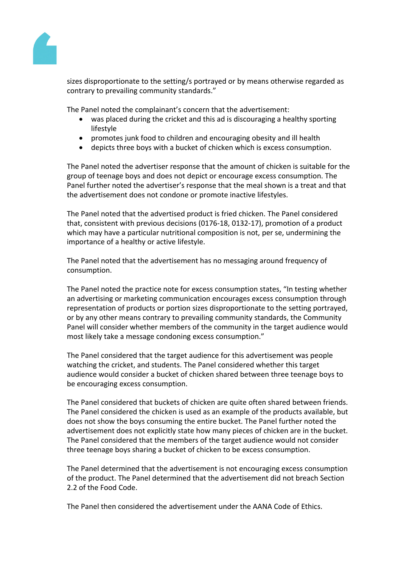

sizes disproportionate to the setting/s portrayed or by means otherwise regarded as contrary to prevailing community standards."

The Panel noted the complainant's concern that the advertisement:

- was placed during the cricket and this ad is discouraging a healthy sporting lifestyle
- promotes junk food to children and encouraging obesity and ill health
- depicts three boys with a bucket of chicken which is excess consumption.

The Panel noted the advertiser response that the amount of chicken is suitable for the group of teenage boys and does not depict or encourage excess consumption. The Panel further noted the advertiser's response that the meal shown is a treat and that the advertisement does not condone or promote inactive lifestyles.

The Panel noted that the advertised product is fried chicken. The Panel considered that, consistent with previous decisions (0176-18, 0132-17), promotion of a product which may have a particular nutritional composition is not, per se, undermining the importance of a healthy or active lifestyle.

The Panel noted that the advertisement has no messaging around frequency of consumption.

The Panel noted the practice note for excess consumption states, "In testing whether an advertising or marketing communication encourages excess consumption through representation of products or portion sizes disproportionate to the setting portrayed, or by any other means contrary to prevailing community standards, the Community Panel will consider whether members of the community in the target audience would most likely take a message condoning excess consumption."

The Panel considered that the target audience for this advertisement was people watching the cricket, and students. The Panel considered whether this target audience would consider a bucket of chicken shared between three teenage boys to be encouraging excess consumption.

The Panel considered that buckets of chicken are quite often shared between friends. The Panel considered the chicken is used as an example of the products available, but does not show the boys consuming the entire bucket. The Panel further noted the advertisement does not explicitly state how many pieces of chicken are in the bucket. The Panel considered that the members of the target audience would not consider three teenage boys sharing a bucket of chicken to be excess consumption.

The Panel determined that the advertisement is not encouraging excess consumption of the product. The Panel determined that the advertisement did not breach Section 2.2 of the Food Code.

The Panel then considered the advertisement under the AANA Code of Ethics.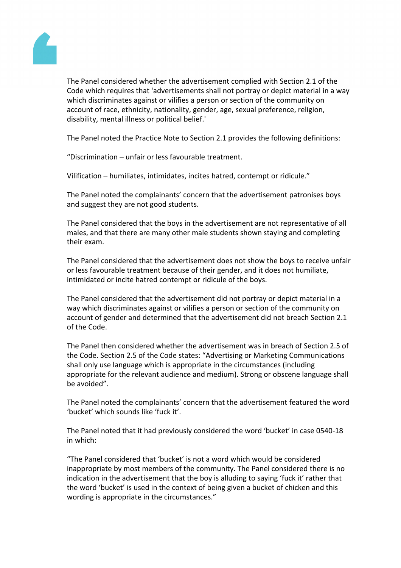

The Panel considered whether the advertisement complied with Section 2.1 of the Code which requires that 'advertisements shall not portray or depict material in a way which discriminates against or vilifies a person or section of the community on account of race, ethnicity, nationality, gender, age, sexual preference, religion, disability, mental illness or political belief.'

The Panel noted the Practice Note to Section 2.1 provides the following definitions:

"Discrimination – unfair or less favourable treatment.

Vilification – humiliates, intimidates, incites hatred, contempt or ridicule."

The Panel noted the complainants' concern that the advertisement patronises boys and suggest they are not good students.

The Panel considered that the boys in the advertisement are not representative of all males, and that there are many other male students shown staying and completing their exam.

The Panel considered that the advertisement does not show the boys to receive unfair or less favourable treatment because of their gender, and it does not humiliate, intimidated or incite hatred contempt or ridicule of the boys.

The Panel considered that the advertisement did not portray or depict material in a way which discriminates against or vilifies a person or section of the community on account of gender and determined that the advertisement did not breach Section 2.1 of the Code.

The Panel then considered whether the advertisement was in breach of Section 2.5 of the Code. Section 2.5 of the Code states: "Advertising or Marketing Communications shall only use language which is appropriate in the circumstances (including appropriate for the relevant audience and medium). Strong or obscene language shall be avoided".

The Panel noted the complainants' concern that the advertisement featured the word 'bucket' which sounds like 'fuck it'.

The Panel noted that it had previously considered the word 'bucket' in case 0540-18 in which:

"The Panel considered that 'bucket' is not a word which would be considered inappropriate by most members of the community. The Panel considered there is no indication in the advertisement that the boy is alluding to saying 'fuck it' rather that the word 'bucket' is used in the context of being given a bucket of chicken and this wording is appropriate in the circumstances."